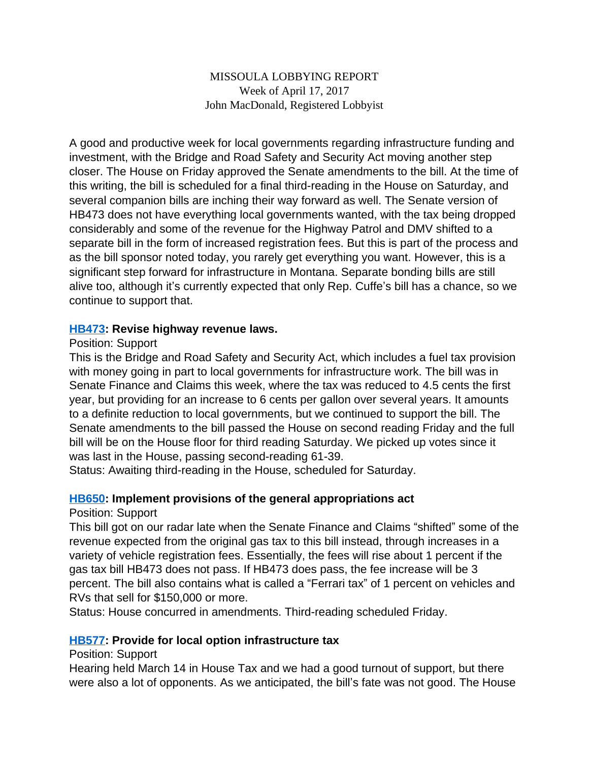#### MISSOULA LOBBYING REPORT Week of April 17, 2017 John MacDonald, Registered Lobbyist

A good and productive week for local governments regarding infrastructure funding and investment, with the Bridge and Road Safety and Security Act moving another step closer. The House on Friday approved the Senate amendments to the bill. At the time of this writing, the bill is scheduled for a final third-reading in the House on Saturday, and several companion bills are inching their way forward as well. The Senate version of HB473 does not have everything local governments wanted, with the tax being dropped considerably and some of the revenue for the Highway Patrol and DMV shifted to a separate bill in the form of increased registration fees. But this is part of the process and as the bill sponsor noted today, you rarely get everything you want. However, this is a significant step forward for infrastructure in Montana. Separate bonding bills are still alive too, although it's currently expected that only Rep. Cuffe's bill has a chance, so we continue to support that.

#### **[HB473](http://laws.leg.mt.gov/legprd/LAW0210W$BSIV.ActionQuery?P_BILL_NO1=473&P_BLTP_BILL_TYP_CD=HB&Z_ACTION=Find&P_SESS=20171): Revise highway revenue laws.**

#### Position: Support

This is the Bridge and Road Safety and Security Act, which includes a fuel tax provision with money going in part to local governments for infrastructure work. The bill was in Senate Finance and Claims this week, where the tax was reduced to 4.5 cents the first year, but providing for an increase to 6 cents per gallon over several years. It amounts to a definite reduction to local governments, but we continued to support the bill. The Senate amendments to the bill passed the House on second reading Friday and the full bill will be on the House floor for third reading Saturday. We picked up votes since it was last in the House, passing second-reading 61-39.

Status: Awaiting third-reading in the House, scheduled for Saturday.

# **[HB650](http://laws.leg.mt.gov/legprd/LAW0210W$BSIV.ActionQuery?P_BILL_NO1=650&P_BLTP_BILL_TYP_CD=HB&Z_ACTION=Find&P_SESS=20171): Implement provisions of the general appropriations act**

Position: Support

This bill got on our radar late when the Senate Finance and Claims "shifted" some of the revenue expected from the original gas tax to this bill instead, through increases in a variety of vehicle registration fees. Essentially, the fees will rise about 1 percent if the gas tax bill HB473 does not pass. If HB473 does pass, the fee increase will be 3 percent. The bill also contains what is called a "Ferrari tax" of 1 percent on vehicles and RVs that sell for \$150,000 or more.

Status: House concurred in amendments. Third-reading scheduled Friday.

# **[HB577](http://laws.leg.mt.gov/legprd/LAW0210W$BSIV.ActionQuery?P_BILL_NO1=577&P_BLTP_BILL_TYP_CD=HB&Z_ACTION=Find&P_SESS=20171): Provide for local option infrastructure tax**

#### Position: Support

Hearing held March 14 in House Tax and we had a good turnout of support, but there were also a lot of opponents. As we anticipated, the bill's fate was not good. The House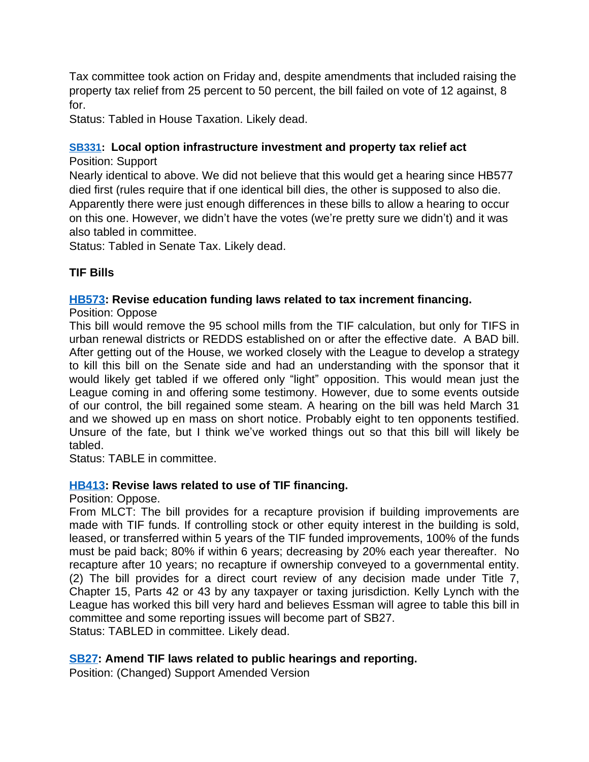Tax committee took action on Friday and, despite amendments that included raising the property tax relief from 25 percent to 50 percent, the bill failed on vote of 12 against, 8 for.

Status: Tabled in House Taxation. Likely dead.

# **[SB331:](http://laws.leg.mt.gov/legprd/LAW0210W$BSIV.ActionQuery?P_BILL_NO1=331&P_BLTP_BILL_TYP_CD=SB&Z_ACTION=Find&P_SESS=20171) Local option infrastructure investment and property tax relief act**

Position: Support

Nearly identical to above. We did not believe that this would get a hearing since HB577 died first (rules require that if one identical bill dies, the other is supposed to also die. Apparently there were just enough differences in these bills to allow a hearing to occur on this one. However, we didn't have the votes (we're pretty sure we didn't) and it was also tabled in committee.

Status: Tabled in Senate Tax. Likely dead.

# **TIF Bills**

#### **[HB573](http://laws.leg.mt.gov/legprd/LAW0210W$BSIV.ActionQuery?P_BILL_NO1=573&P_BLTP_BILL_TYP_CD=HB&Z_ACTION=Find&P_SESS=20171): Revise education funding laws related to tax increment financing.**

#### Position: Oppose

This bill would remove the 95 school mills from the TIF calculation, but only for TIFS in urban renewal districts or REDDS established on or after the effective date. A BAD bill. After getting out of the House, we worked closely with the League to develop a strategy to kill this bill on the Senate side and had an understanding with the sponsor that it would likely get tabled if we offered only "light" opposition. This would mean just the League coming in and offering some testimony. However, due to some events outside of our control, the bill regained some steam. A hearing on the bill was held March 31 and we showed up en mass on short notice. Probably eight to ten opponents testified. Unsure of the fate, but I think we've worked things out so that this bill will likely be tabled.

Status: TABLE in committee.

# **[HB413](http://laws.leg.mt.gov/legprd/LAW0210W$BSIV.ActionQuery?P_BILL_NO1=413&P_BLTP_BILL_TYP_CD=HB&Z_ACTION=Find&P_SESS=20171): Revise laws related to use of TIF financing.**

Position: Oppose.

From MLCT: The bill provides for a recapture provision if building improvements are made with TIF funds. If controlling stock or other equity interest in the building is sold, leased, or transferred within 5 years of the TIF funded improvements, 100% of the funds must be paid back; 80% if within 6 years; decreasing by 20% each year thereafter. No recapture after 10 years; no recapture if ownership conveyed to a governmental entity. (2) The bill provides for a direct court review of any decision made under Title 7, Chapter 15, Parts 42 or 43 by any taxpayer or taxing jurisdiction. Kelly Lynch with the League has worked this bill very hard and believes Essman will agree to table this bill in committee and some reporting issues will become part of SB27. Status: TABLED in committee. Likely dead.

# **[SB27](http://laws.leg.mt.gov/legprd/LAW0210W$BSIV.ActionQuery?P_BILL_NO1=27&P_BLTP_BILL_TYP_CD=SB&Z_ACTION=Find&P_SESS=20171): Amend TIF laws related to public hearings and reporting.**

Position: (Changed) Support Amended Version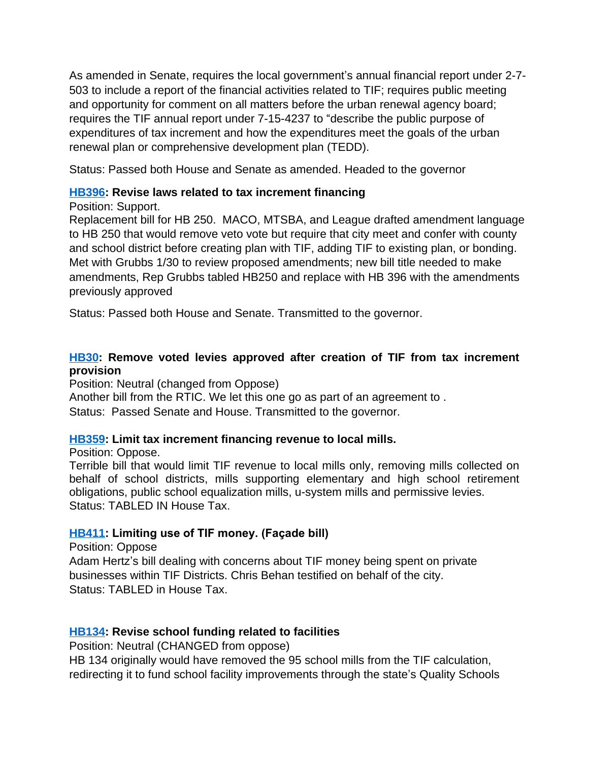As amended in Senate, requires the local government's annual financial report under 2-7- 503 to include a report of the financial activities related to TIF; requires public meeting and opportunity for comment on all matters before the urban renewal agency board; requires the TIF annual report under 7-15-4237 to "describe the public purpose of expenditures of tax increment and how the expenditures meet the goals of the urban renewal plan or comprehensive development plan (TEDD).

Status: Passed both House and Senate as amended. Headed to the governor

# **[HB396](http://laws.leg.mt.gov/legprd/LAW0210W$BSIV.ActionQuery?P_BILL_NO1=396&P_BLTP_BILL_TYP_CD=HB&Z_ACTION=Find&P_SESS=20171): Revise laws related to tax increment financing**

# Position: Support.

Replacement bill for HB 250. MACO, MTSBA, and League drafted amendment language to HB 250 that would remove veto vote but require that city meet and confer with county and school district before creating plan with TIF, adding TIF to existing plan, or bonding. Met with Grubbs 1/30 to review proposed amendments; new bill title needed to make amendments, Rep Grubbs tabled HB250 and replace with HB 396 with the amendments previously approved

Status: Passed both House and Senate. Transmitted to the governor.

# **[HB30:](http://laws.leg.mt.gov/legprd/LAW0210W$BSIV.ActionQuery?P_BILL_NO1=30&P_BLTP_BILL_TYP_CD=HB&Z_ACTION=Find&P_SESS=20171) Remove voted levies approved after creation of TIF from tax increment provision**

Position: Neutral (changed from Oppose)

Another bill from the RTIC. We let this one go as part of an agreement to . Status: Passed Senate and House. Transmitted to the governor.

# **[HB359](http://laws.leg.mt.gov/legprd/LAW0210W$BSIV.ActionQuery?P_BILL_NO1=359&P_BLTP_BILL_TYP_CD=HB&Z_ACTION=Find&P_SESS=20171): Limit tax increment financing revenue to local mills.**

Position: Oppose.

Terrible bill that would limit TIF revenue to local mills only, removing mills collected on behalf of school districts, mills supporting elementary and high school retirement obligations, public school equalization mills, u-system mills and permissive levies. Status: TABLED IN House Tax.

# **[HB411](http://laws.leg.mt.gov/legprd/LAW0210W$BSIV.ActionQuery?P_BILL_NO1=411&P_BLTP_BILL_TYP_CD=HB&Z_ACTION=Find&P_SESS=20171): Limiting use of TIF money. (Façade bill)**

Position: Oppose Adam Hertz's bill dealing with concerns about TIF money being spent on private businesses within TIF Districts. Chris Behan testified on behalf of the city. Status: TABLED in House Tax.

# **[HB134](http://laws.leg.mt.gov/legprd/LAW0210W$BSIV.ActionQuery?P_BILL_NO1=134&P_BLTP_BILL_TYP_CD=HB&Z_ACTION=Find&P_SESS=20171): Revise school funding related to facilities**

Position: Neutral (CHANGED from oppose)

HB 134 originally would have removed the 95 school mills from the TIF calculation, redirecting it to fund school facility improvements through the state's Quality Schools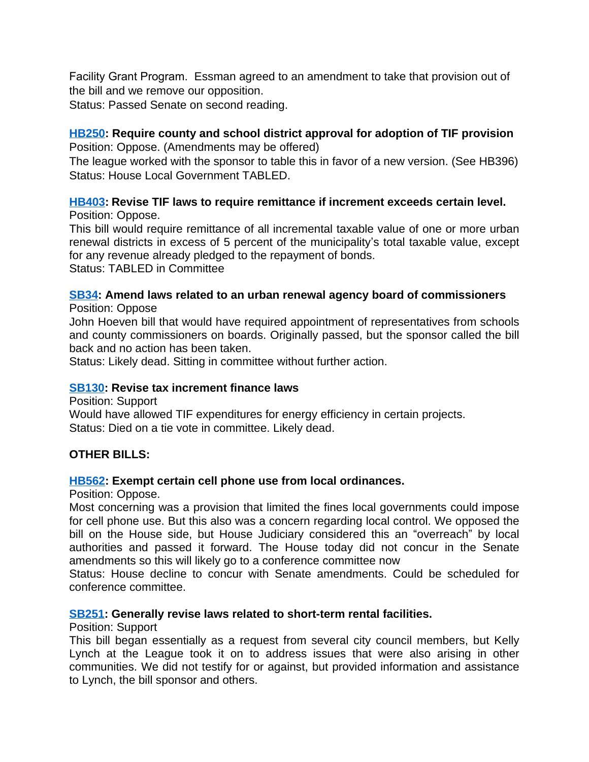Facility Grant Program. Essman agreed to an amendment to take that provision out of the bill and we remove our opposition.

Status: Passed Senate on second reading.

# **[HB250](http://laws.leg.mt.gov/legprd/LAW0210W$BSIV.ActionQuery?P_BILL_NO1=250&P_BLTP_BILL_TYP_CD=HB&Z_ACTION=Find&P_SESS=20171): Require county and school district approval for adoption of TIF provision**

Position: Oppose. (Amendments may be offered)

The league worked with the sponsor to table this in favor of a new version. (See HB396) Status: House Local Government TABLED.

# **[HB403](http://laws.leg.mt.gov/legprd/LAW0210W$BSIV.ActionQuery?P_BILL_NO1=403&P_BLTP_BILL_TYP_CD=HB&Z_ACTION=Find&P_SESS=20171): Revise TIF laws to require remittance if increment exceeds certain level.**

Position: Oppose.

This bill would require remittance of all incremental taxable value of one or more urban renewal districts in excess of 5 percent of the municipality's total taxable value, except for any revenue already pledged to the repayment of bonds.

Status: TABLED in Committee

#### **[SB34](http://laws.leg.mt.gov/legprd/LAW0210W$BSIV.ActionQuery?P_BILL_NO1=34&P_BLTP_BILL_TYP_CD=SB&Z_ACTION=Find&P_SESS=20171): Amend laws related to an urban renewal agency board of commissioners** Position: Oppose

John Hoeven bill that would have required appointment of representatives from schools and county commissioners on boards. Originally passed, but the sponsor called the bill back and no action has been taken.

Status: Likely dead. Sitting in committee without further action.

# **[SB130:](http://laws.leg.mt.gov/legprd/LAW0210W$BSIV.ActionQuery?P_BILL_NO1=130&P_BLTP_BILL_TYP_CD=SB&Z_ACTION=Find&P_SESS=20171) Revise tax increment finance laws**

Position: Support Would have allowed TIF expenditures for energy efficiency in certain projects. Status: Died on a tie vote in committee. Likely dead.

# **OTHER BILLS:**

# **[HB562](http://laws.leg.mt.gov/legprd/LAW0210W$BSIV.ActionQuery?P_BILL_NO1=562&P_BLTP_BILL_TYP_CD=HB&Z_ACTION=Find&P_SESS=20171): Exempt certain cell phone use from local ordinances.**

Position: Oppose.

Most concerning was a provision that limited the fines local governments could impose for cell phone use. But this also was a concern regarding local control. We opposed the bill on the House side, but House Judiciary considered this an "overreach" by local authorities and passed it forward. The House today did not concur in the Senate amendments so this will likely go to a conference committee now

Status: House decline to concur with Senate amendments. Could be scheduled for conference committee.

# **[SB251:](http://laws.leg.mt.gov/legprd/LAW0210W$BSIV.ActionQuery?P_BILL_NO1=251&P_BLTP_BILL_TYP_CD=SB&Z_ACTION=Find&P_SESS=20171) Generally revise laws related to short-term rental facilities.**

Position: Support

This bill began essentially as a request from several city council members, but Kelly Lynch at the League took it on to address issues that were also arising in other communities. We did not testify for or against, but provided information and assistance to Lynch, the bill sponsor and others.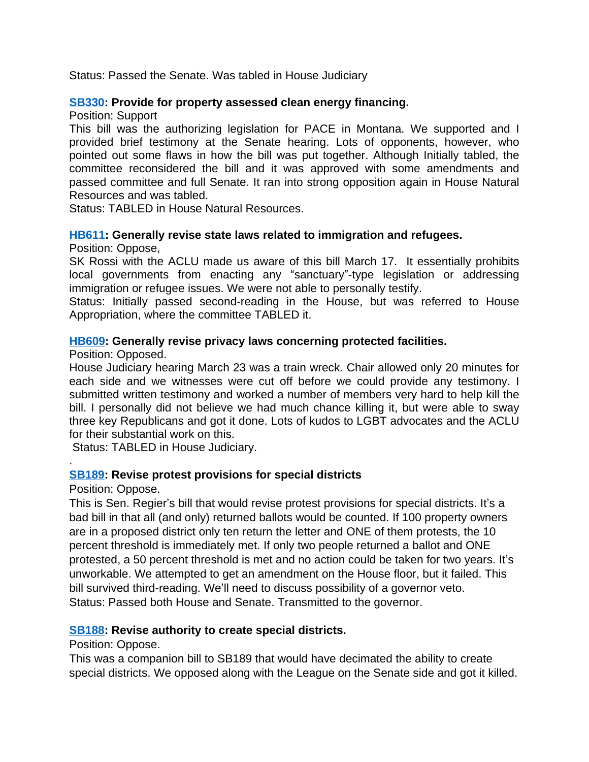Status: Passed the Senate. Was tabled in House Judiciary

#### **[SB330:](http://laws.leg.mt.gov/legprd/LAW0210W$BSIV.ActionQuery?P_BILL_NO1=330&P_BLTP_BILL_TYP_CD=SB&Z_ACTION=Find&P_SESS=20171) Provide for property assessed clean energy financing.**

Position: Support

This bill was the authorizing legislation for PACE in Montana. We supported and I provided brief testimony at the Senate hearing. Lots of opponents, however, who pointed out some flaws in how the bill was put together. Although Initially tabled, the committee reconsidered the bill and it was approved with some amendments and passed committee and full Senate. It ran into strong opposition again in House Natural Resources and was tabled.

Status: TABLED in House Natural Resources.

#### **[HB611](http://laws.leg.mt.gov/legprd/LAW0210W$BSIV.ActionQuery?P_BILL_NO1=611&P_BLTP_BILL_TYP_CD=HB&Z_ACTION=Find&P_SESS=20171): Generally revise state laws related to immigration and refugees.**

Position: Oppose,

SK Rossi with the ACLU made us aware of this bill March 17. It essentially prohibits local governments from enacting any "sanctuary"-type legislation or addressing immigration or refugee issues. We were not able to personally testify.

Status: Initially passed second-reading in the House, but was referred to House Appropriation, where the committee TABLED it.

#### **[HB609](http://laws.leg.mt.gov/legprd/LAW0210W$BSIV.ActionQuery?P_BILL_NO1=609&P_BLTP_BILL_TYP_CD=HB&Z_ACTION=Find&P_SESS=20171): Generally revise privacy laws concerning protected facilities.**

Position: Opposed.

House Judiciary hearing March 23 was a train wreck. Chair allowed only 20 minutes for each side and we witnesses were cut off before we could provide any testimony. I submitted written testimony and worked a number of members very hard to help kill the bill. I personally did not believe we had much chance killing it, but were able to sway three key Republicans and got it done. Lots of kudos to LGBT advocates and the ACLU for their substantial work on this.

Status: TABLED in House Judiciary.

#### **[SB189:](http://laws.leg.mt.gov/legprd/LAW0210W$BSIV.ActionQuery?P_BILL_NO1=189&P_BLTP_BILL_TYP_CD=SB&Z_ACTION=Find&P_SESS=20171) Revise protest provisions for special districts**

#### Position: Oppose.

.

This is Sen. Regier's bill that would revise protest provisions for special districts. It's a bad bill in that all (and only) returned ballots would be counted. If 100 property owners are in a proposed district only ten return the letter and ONE of them protests, the 10 percent threshold is immediately met. If only two people returned a ballot and ONE protested, a 50 percent threshold is met and no action could be taken for two years. It's unworkable. We attempted to get an amendment on the House floor, but it failed. This bill survived third-reading. We'll need to discuss possibility of a governor veto. Status: Passed both House and Senate. Transmitted to the governor.

#### **[SB188:](http://laws.leg.mt.gov/legprd/LAW0210W$BSIV.ActionQuery?P_BILL_NO1=188&P_BLTP_BILL_TYP_CD=SB&Z_ACTION=Find&P_SESS=20171) Revise authority to create special districts.**

Position: Oppose.

This was a companion bill to SB189 that would have decimated the ability to create special districts. We opposed along with the League on the Senate side and got it killed.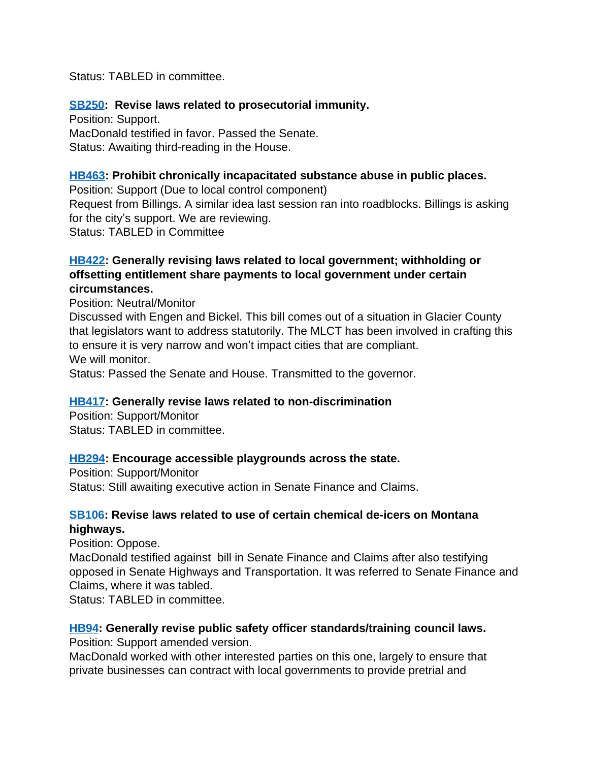Status: TABLED in committee.

#### **[SB250:](http://laws.leg.mt.gov/legprd/LAW0210W$BSIV.ActionQuery?P_BILL_NO1=250&P_BLTP_BILL_TYP_CD=SB&Z_ACTION=Find&P_SESS=20171) Revise laws related to prosecutorial immunity.**

Position: Support. MacDonald testified in favor. Passed the Senate. Status: Awaiting third-reading in the House.

#### **[HB463](http://laws.leg.mt.gov/legprd/LAW0210W$BSIV.ActionQuery?P_BILL_NO1=463&P_BLTP_BILL_TYP_CD=HB&Z_ACTION=Find&P_SESS=20171): Prohibit chronically incapacitated substance abuse in public places.**

Position: Support (Due to local control component) Request from Billings. A similar idea last session ran into roadblocks. Billings is asking for the city's support. We are reviewing.

Status: TABLED in Committee

# **[HB422](http://laws.leg.mt.gov/legprd/LAW0210W$BSIV.ActionQuery?P_BILL_NO1=422&P_BLTP_BILL_TYP_CD=HB&Z_ACTION=Find&P_SESS=20171): Generally revising laws related to local government; withholding or offsetting entitlement share payments to local government under certain circumstances.**

Position: Neutral/Monitor

Discussed with Engen and Bickel. This bill comes out of a situation in Glacier County that legislators want to address statutorily. The MLCT has been involved in crafting this to ensure it is very narrow and won't impact cities that are compliant. We will monitor.

Status: Passed the Senate and House. Transmitted to the governor.

# **[HB417](http://laws.leg.mt.gov/legprd/LAW0210W$BSIV.ActionQuery?P_BILL_NO1=417&P_BLTP_BILL_TYP_CD=HB&Z_ACTION=Find&P_SESS=20171): Generally revise laws related to non-discrimination**

Position: Support/Monitor Status: TABLED in committee.

# **[HB294](http://laws.leg.mt.gov/legprd/LAW0210W$BSIV.ActionQuery?P_BILL_NO1=294&P_BLTP_BILL_TYP_CD=HB&Z_ACTION=Find&P_SESS=20171): Encourage accessible playgrounds across the state.**

Position: Support/Monitor Status: Still awaiting executive action in Senate Finance and Claims.

# **[SB106:](http://laws.leg.mt.gov/legprd/LAW0210W$BSIV.ActionQuery?P_BILL_NO1=106&P_BLTP_BILL_TYP_CD=SB&Z_ACTION=Find&P_SESS=20171) Revise laws related to use of certain chemical de-icers on Montana highways.**

Position: Oppose.

MacDonald testified against bill in Senate Finance and Claims after also testifying opposed in Senate Highways and Transportation. It was referred to Senate Finance and Claims, where it was tabled.

Status: TABLED in committee.

# **[HB94:](http://laws.leg.mt.gov/legprd/LAW0210W$BSIV.ActionQuery?P_BILL_NO1=94&P_BLTP_BILL_TYP_CD=HB&Z_ACTION=Find&P_SESS=20171) Generally revise public safety officer standards/training council laws.**

Position: Support amended version.

MacDonald worked with other interested parties on this one, largely to ensure that private businesses can contract with local governments to provide pretrial and